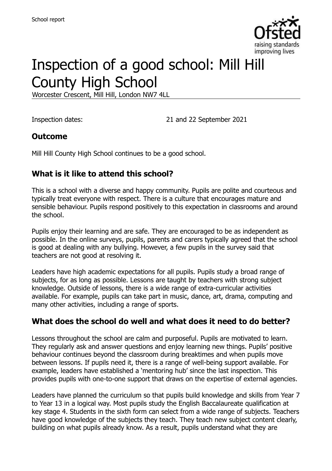

# Inspection of a good school: Mill Hill County High School

Worcester Crescent, Mill Hill, London NW7 4LL

Inspection dates: 21 and 22 September 2021

#### **Outcome**

Mill Hill County High School continues to be a good school.

## **What is it like to attend this school?**

This is a school with a diverse and happy community. Pupils are polite and courteous and typically treat everyone with respect. There is a culture that encourages mature and sensible behaviour. Pupils respond positively to this expectation in classrooms and around the school.

Pupils enjoy their learning and are safe. They are encouraged to be as independent as possible. In the online surveys, pupils, parents and carers typically agreed that the school is good at dealing with any bullying. However, a few pupils in the survey said that teachers are not good at resolving it.

Leaders have high academic expectations for all pupils. Pupils study a broad range of subjects, for as long as possible. Lessons are taught by teachers with strong subject knowledge. Outside of lessons, there is a wide range of extra-curricular activities available. For example, pupils can take part in music, dance, art, drama, computing and many other activities, including a range of sports.

## **What does the school do well and what does it need to do better?**

Lessons throughout the school are calm and purposeful. Pupils are motivated to learn. They regularly ask and answer questions and enjoy learning new things. Pupils' positive behaviour continues beyond the classroom during breaktimes and when pupils move between lessons. If pupils need it, there is a range of well-being support available. For example, leaders have established a 'mentoring hub' since the last inspection. This provides pupils with one-to-one support that draws on the expertise of external agencies.

Leaders have planned the curriculum so that pupils build knowledge and skills from Year 7 to Year 13 in a logical way. Most pupils study the English Baccalaureate qualification at key stage 4. Students in the sixth form can select from a wide range of subjects. Teachers have good knowledge of the subjects they teach. They teach new subject content clearly, building on what pupils already know. As a result, pupils understand what they are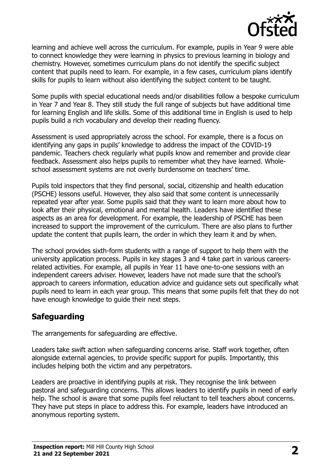

learning and achieve well across the curriculum. For example, pupils in Year 9 were able to connect knowledge they were learning in physics to previous learning in biology and chemistry. However, sometimes curriculum plans do not identify the specific subject content that pupils need to learn. For example, in a few cases, curriculum plans identify skills for pupils to learn without also identifying the subject content to be taught.

Some pupils with special educational needs and/or disabilities follow a bespoke curriculum in Year 7 and Year 8. They still study the full range of subjects but have additional time for learning English and life skills. Some of this additional time in English is used to help pupils build a rich vocabulary and develop their reading fluency.

Assessment is used appropriately across the school. For example, there is a focus on identifying any gaps in pupils' knowledge to address the impact of the COVID-19 pandemic. Teachers check regularly what pupils know and remember and provide clear feedback. Assessment also helps pupils to remember what they have learned. Wholeschool assessment systems are not overly burdensome on teachers' time.

Pupils told inspectors that they find personal, social, citizenship and health education (PSCHE) lessons useful. However, they also said that some content is unnecessarily repeated year after year. Some pupils said that they want to learn more about how to look after their physical, emotional and mental health. Leaders have identified these aspects as an area for development. For example, the leadership of PSCHE has been increased to support the improvement of the curriculum. There are also plans to further update the content that pupils learn, the order in which they learn it and by when.

The school provides sixth-form students with a range of support to help them with the university application process. Pupils in key stages 3 and 4 take part in various careersrelated activities. For example, all pupils in Year 11 have one-to-one sessions with an independent careers adviser. However, leaders have not made sure that the school's approach to careers information, education advice and guidance sets out specifically what pupils need to learn in each year group. This means that some pupils felt that they do not have enough knowledge to guide their next steps.

#### **Safeguarding**

The arrangements for safeguarding are effective.

Leaders take swift action when safeguarding concerns arise. Staff work together, often alongside external agencies, to provide specific support for pupils. Importantly, this includes helping both the victim and any perpetrators.

Leaders are proactive in identifying pupils at risk. They recognise the link between pastoral and safeguarding concerns. This allows leaders to identify pupils in need of early help. The school is aware that some pupils feel reluctant to tell teachers about concerns. They have put steps in place to address this. For example, leaders have introduced an anonymous reporting system.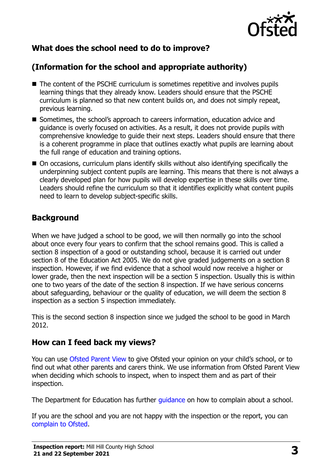

# **What does the school need to do to improve?**

# **(Information for the school and appropriate authority)**

- The content of the PSCHE curriculum is sometimes repetitive and involves pupils learning things that they already know. Leaders should ensure that the PSCHE curriculum is planned so that new content builds on, and does not simply repeat, previous learning.
- Sometimes, the school's approach to careers information, education advice and guidance is overly focused on activities. As a result, it does not provide pupils with comprehensive knowledge to guide their next steps. Leaders should ensure that there is a coherent programme in place that outlines exactly what pupils are learning about the full range of education and training options.
- On occasions, curriculum plans identify skills without also identifying specifically the underpinning subject content pupils are learning. This means that there is not always a clearly developed plan for how pupils will develop expertise in these skills over time. Leaders should refine the curriculum so that it identifies explicitly what content pupils need to learn to develop subject-specific skills.

## **Background**

When we have judged a school to be good, we will then normally go into the school about once every four years to confirm that the school remains good. This is called a section 8 inspection of a good or outstanding school, because it is carried out under section 8 of the Education Act 2005. We do not give graded judgements on a section 8 inspection. However, if we find evidence that a school would now receive a higher or lower grade, then the next inspection will be a section 5 inspection. Usually this is within one to two years of the date of the section 8 inspection. If we have serious concerns about safeguarding, behaviour or the quality of education, we will deem the section 8 inspection as a section 5 inspection immediately.

This is the second section 8 inspection since we judged the school to be good in March 2012.

## **How can I feed back my views?**

You can use [Ofsted Parent View](https://parentview.ofsted.gov.uk/) to give Ofsted your opinion on your child's school, or to find out what other parents and carers think. We use information from Ofsted Parent View when deciding which schools to inspect, when to inspect them and as part of their inspection.

The Department for Education has further quidance on how to complain about a school.

If you are the school and you are not happy with the inspection or the report, you can [complain to Ofsted.](https://www.gov.uk/complain-ofsted-report)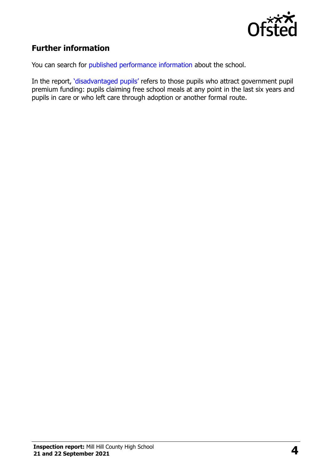

# **Further information**

You can search for [published performance information](http://www.compare-school-performance.service.gov.uk/) about the school.

In the report, '[disadvantaged pupils](http://www.gov.uk/guidance/pupil-premium-information-for-schools-and-alternative-provision-settings)' refers to those pupils who attract government pupil premium funding: pupils claiming free school meals at any point in the last six years and pupils in care or who left care through adoption or another formal route.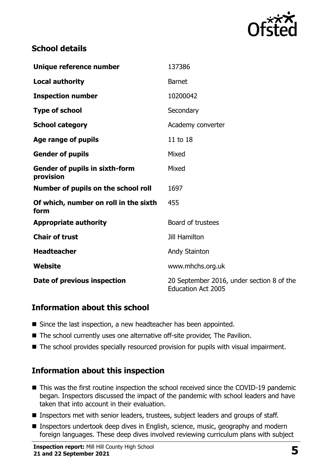

#### **School details**

| Unique reference number                            | 137386                                                                 |
|----------------------------------------------------|------------------------------------------------------------------------|
| <b>Local authority</b>                             | <b>Barnet</b>                                                          |
| <b>Inspection number</b>                           | 10200042                                                               |
| <b>Type of school</b>                              | Secondary                                                              |
| <b>School category</b>                             | Academy converter                                                      |
| Age range of pupils                                | 11 to 18                                                               |
| <b>Gender of pupils</b>                            | Mixed                                                                  |
| <b>Gender of pupils in sixth-form</b><br>provision | Mixed                                                                  |
| Number of pupils on the school roll                | 1697                                                                   |
| Of which, number on roll in the sixth<br>form      | 455                                                                    |
| <b>Appropriate authority</b>                       | Board of trustees                                                      |
| <b>Chair of trust</b>                              | <b>Jill Hamilton</b>                                                   |
| <b>Headteacher</b>                                 | Andy Stainton                                                          |
| Website                                            | www.mhchs.org.uk                                                       |
| Date of previous inspection                        | 20 September 2016, under section 8 of the<br><b>Education Act 2005</b> |

#### **Information about this school**

- Since the last inspection, a new headteacher has been appointed.
- The school currently uses one alternative off-site provider. The Pavilion.
- The school provides specially resourced provision for pupils with visual impairment.

## **Information about this inspection**

- This was the first routine inspection the school received since the COVID-19 pandemic began. Inspectors discussed the impact of the pandemic with school leaders and have taken that into account in their evaluation.
- Inspectors met with senior leaders, trustees, subject leaders and groups of staff.
- Inspectors undertook deep dives in English, science, music, geography and modern foreign languages. These deep dives involved reviewing curriculum plans with subject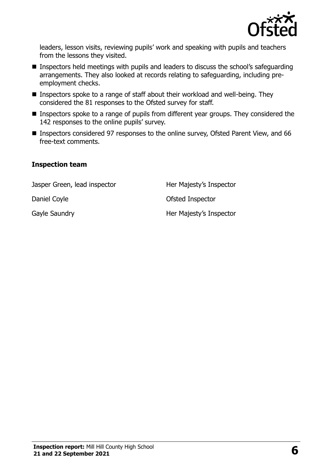

leaders, lesson visits, reviewing pupils' work and speaking with pupils and teachers from the lessons they visited.

- Inspectors held meetings with pupils and leaders to discuss the school's safeguarding arrangements. They also looked at records relating to safeguarding, including preemployment checks.
- Inspectors spoke to a range of staff about their workload and well-being. They considered the 81 responses to the Ofsted survey for staff.
- Inspectors spoke to a range of pupils from different year groups. They considered the 142 responses to the online pupils' survey.
- Inspectors considered 97 responses to the online survey, Ofsted Parent View, and 66 free-text comments.

#### **Inspection team**

Jasper Green, lead inspector **Her Majesty's Inspector** 

Daniel Coyle **Daniel Coyle Contract Contract Contract Contract Contract Contract Contract Contract Contract Contract Contract Contract Contract Contract Contract Contract Contract Contract Contract Contract Contract Contra** 

Gayle Saundry **Her Majesty's Inspector**